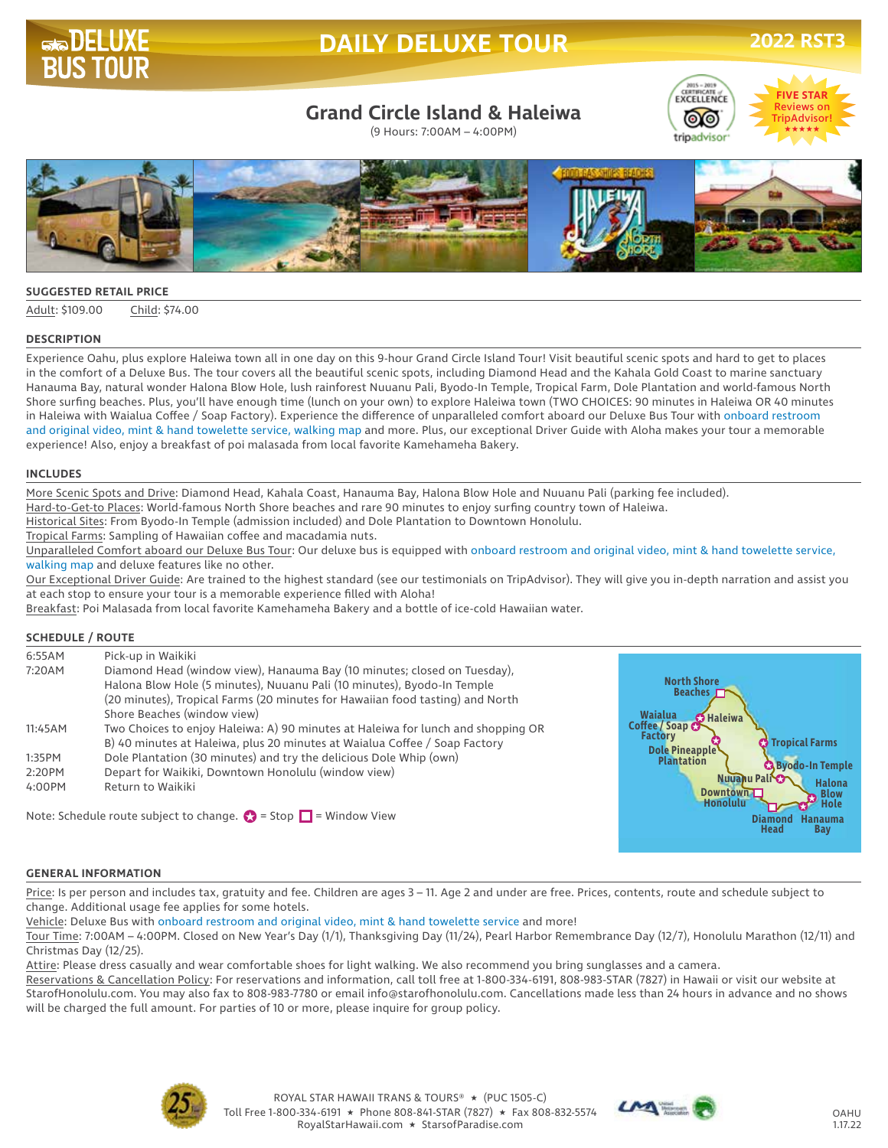

# **DAILY DELUXE TOUR**

## **Grand Circle Island & Haleiwa**

(9 Hours: 7:00AM – 4:00PM)





#### **SUGGESTED RETAIL PRICE**

Adult: \$109.00 Child: \$74.00

#### **DESCRIPTION**

Experience Oahu, plus explore Haleiwa town all in one day on this 9-hour Grand Circle Island Tour! Visit beautiful scenic spots and hard to get to places in the comfort of a Deluxe Bus. The tour covers all the beautiful scenic spots, including Diamond Head and the Kahala Gold Coast to marine sanctuary Hanauma Bay, natural wonder Halona Blow Hole, lush rainforest Nuuanu Pali, Byodo-In Temple, Tropical Farm, Dole Plantation and world-famous North Shore surfing beaches. Plus, you'll have enough time (lunch on your own) to explore Haleiwa town (TWO CHOICES: 90 minutes in Haleiwa OR 40 minutes in Haleiwa with Waialua Coffee / Soap Factory). Experience the difference of unparalleled comfort aboard our Deluxe Bus Tour with onboard restroom and original video, mint & hand towelette service, walking map and more. Plus, our exceptional Driver Guide with Aloha makes your tour a memorable experience! Also, enjoy a breakfast of poi malasada from local favorite Kamehameha Bakery.

#### **INCLUDES**

More Scenic Spots and Drive: Diamond Head, Kahala Coast, Hanauma Bay, Halona Blow Hole and Nuuanu Pali (parking fee included).

Hard-to-Get-to Places: World-famous North Shore beaches and rare 90 minutes to enjoy surfing country town of Haleiwa.

Historical Sites: From Byodo-In Temple (admission included) and Dole Plantation to Downtown Honolulu.

Tropical Farms: Sampling of Hawaiian coffee and macadamia nuts.

Unparalleled Comfort aboard our Deluxe Bus Tour: Our deluxe bus is equipped with onboard restroom and original video, mint & hand towelette service, walking map and deluxe features like no other.

Our Exceptional Driver Guide: Are trained to the highest standard (see our testimonials on TripAdvisor). They will give you in-depth narration and assist you at each stop to ensure your tour is a memorable experience filled with Aloha!

Breakfast: Poi Malasada from local favorite Kamehameha Bakery and a bottle of ice-cold Hawaiian water.

#### **SCHEDULE / ROUTE**

| 6:55AM  | Pick-up in Waikiki                                                                                                                                                                                                                   |                                                           |
|---------|--------------------------------------------------------------------------------------------------------------------------------------------------------------------------------------------------------------------------------------|-----------------------------------------------------------|
| 7:20AM  | Diamond Head (window view), Hanauma Bay (10 minutes; closed on Tuesday),<br>Halona Blow Hole (5 minutes), Nuuanu Pali (10 minutes), Byodo-In Temple<br>(20 minutes), Tropical Farms (20 minutes for Hawaiian food tasting) and North | <b>North Shore</b><br>Beaches <b>Fra</b>                  |
|         | Shore Beaches (window view)                                                                                                                                                                                                          | <b>Waialua</b><br><b>O</b> Haleiwa                        |
| 11:45AM | Two Choices to enjoy Haleiwa: A) 90 minutes at Haleiwa for lunch and shopping OR                                                                                                                                                     | Coffee / Soap C                                           |
|         | B) 40 minutes at Haleiwa, plus 20 minutes at Waialua Coffee / Soap Factory                                                                                                                                                           | <b>Factory</b><br><b>C</b> Tropical Farms                 |
| 1:35PM  | Dole Plantation (30 minutes) and try the delicious Dole Whip (own)                                                                                                                                                                   | Dole Pineapple<br><b>Plantation</b>                       |
| 2:20PM  | Depart for Waikiki, Downtown Honolulu (window view)                                                                                                                                                                                  | <b>CA Byodo-In Temple</b>                                 |
| 4:00PM  | Return to Waikiki                                                                                                                                                                                                                    | Nuuahu Pali<br><b>Halona</b>                              |
|         |                                                                                                                                                                                                                                      | <b>Downtown</b><br><b>Blow</b><br><b>Honolulu</b><br>Hole |

Note: Schedule route subject to change.  $\bullet$  = Stop  $\Box$  = Window View

#### **GENERAL INFORMATION**

Price: Is per person and includes tax, gratuity and fee. Children are ages 3 - 11. Age 2 and under are free. Prices, contents, route and schedule subject to change. Additional usage fee applies for some hotels.

Vehicle: Deluxe Bus with onboard restroom and original video, mint & hand towelette service and more!

Tour Time: 7:00AM – 4:00PM. Closed on New Year's Day (1/1), Thanksgiving Day (11/24), Pearl Harbor Remembrance Day (12/7), Honolulu Marathon (12/11) and Christmas Day (12/25).

Attire: Please dress casually and wear comfortable shoes for light walking. We also recommend you bring sunglasses and a camera.

Reservations & Cancellation Policy: For reservations and information, call toll free at 1-800-334-6191, 808-983-STAR (7827) in Hawaii or visit our website at StarofHonolulu.com. You may also fax to 808-983-7780 or email info@starofhonolulu.com. Cancellations made less than 24 hours in advance and no shows will be charged the full amount. For parties of 10 or more, please inquire for group policy.





**Hanauma Diamond Bay**

**Head**